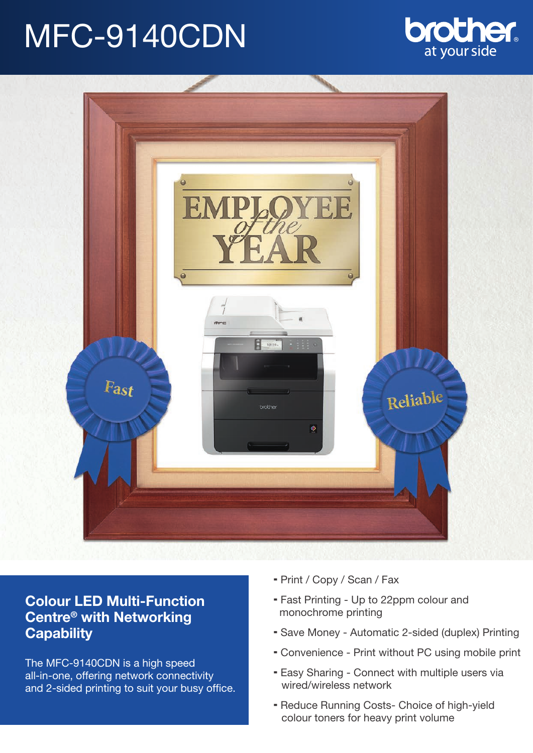# MFC-9140CDN





## **Colour LED Multi-Function Centre® with Networking Capability**

The MFC-9140CDN is a high speed all-in-one, offering network connectivity and 2-sided printing to suit your busy office.

- Print / Copy / Scan / Fax
- Fast Printing Up to 22ppm colour and monochrome printing
- Save Money Automatic 2-sided (duplex) Printing
- Convenience Print without PC using mobile print
- Easy Sharing Connect with multiple users via wired/wireless network
- Reduce Running Costs- Choice of high-yield colour toners for heavy print volume